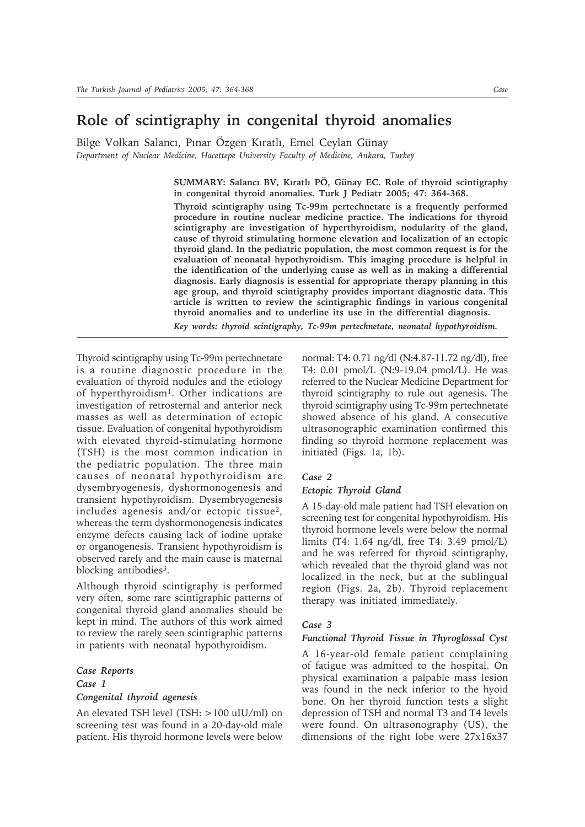## **Role of scintigraphy in congenital thyroid anomalies**

Bilge Volkan Salancı, Pınar Özgen Kıratlı, Emel Ceylan Günay *Department of Nuclear Medicine, Hacettepe University Faculty of Medicine, Ankara, Turkey*

> SUMMARY: Salancı BV, Kıratlı PÖ, Günay EC. Role of thyroid scintigraphy **in congenital thyroid anomalies. Turk J Pediatr 2005; 47: 364-368. Thyroid scintigraphy using Tc-99m pertechnetate is a frequently performed procedure in routine nuclear medicine practice. The indications for thyroid scintigraphy are investigation of hyperthyroidism, nodularity of the gland, cause of thyroid stimulating hormone elevation and localization of an ectopic thyroid gland. In the pediatric population, the most common request is for the evaluation of neonatal hypothyroidism. This imaging procedure is helpful in the identification of the underlying cause as well as in making a differential diagnosis. Early diagnosis is essential for appropriate therapy planning in this age group, and thyroid scintigraphy provides important diagnostic data. This article is written to review the scintigraphic findings in various congenital thyroid anomalies and to underline its use in the differential diagnosis.**

*Key words: thyroid scintigraphy, Tc-99m pertechnetate, neonatal hypothyroidism.*

Thyroid scintigraphy using Tc-99m pertechnetate is a routine diagnostic procedure in the evaluation of thyroid nodules and the etiology of hyperthyroidism<sup>1</sup>. Other indications are investigation of retrosternal and anterior neck masses as well as determination of ectopic tissue. Evaluation of congenital hypothyroidism with elevated thyroid-stimulating hormone (TSH) is the most common indication in the pediatric population. The three main causes of neonatal hypothyroidism are dysembryogenesis, dyshormonogenesis and transient hypothyroidism. Dysembryogenesis includes agenesis and/or ectopic tissue2, whereas the term dyshormonogenesis indicates enzyme defects causing lack of iodine uptake or organogenesis. Transient hypothyroidism is observed rarely and the main cause is maternal blocking antibodies<sup>3</sup>.

Although thyroid scintigraphy is performed very often, some rare scintigraphic patterns of congenital thyroid gland anomalies should be kept in mind. The authors of this work aimed to review the rarely seen scintigraphic patterns in patients with neonatal hypothyroidism.

## *Case Reports Case 1 Congenital thyroid agenesis*

An elevated TSH level (TSH: >100 uIU/ml) on screening test was found in a 20-day-old male patient. His thyroid hormone levels were below

normal: T4: 0.71 ng/dl (N:4.87-11.72 ng/dl), free T4: 0.01 pmol/L (N:9-19.04 pmol/L). He was referred to the Nuclear Medicine Department for thyroid scintigraphy to rule out agenesis. The thyroid scintigraphy using Tc-99m pertechnetate showed absence of his gland. A consecutive ultrasonographic examination confirmed this finding so thyroid hormone replacement was initiated (Figs. 1a, 1b).

### *Case 2*

#### *Ectopic Thyroid Gland*

A 15-day-old male patient had TSH elevation on screening test for congenital hypothyroidism. His thyroid hormone levels were below the normal limits (T4: 1.64 ng/dl, free T4: 3.49 pmol/L) and he was referred for thyroid scintigraphy, which revealed that the thyroid gland was not localized in the neck, but at the sublingual region (Figs. 2a, 2b). Thyroid replacement therapy was initiated immediately.

#### *Case 3*

#### *Functional Thyroid Tissue in Thyroglossal Cyst*

A 16-year-old female patient complaining of fatigue was admitted to the hospital. On physical examination a palpable mass lesion was found in the neck inferior to the hyoid bone. On her thyroid function tests a slight depression of TSH and normal T3 and T4 levels were found. On ultrasonography (US), the dimensions of the right lobe were 27x16x37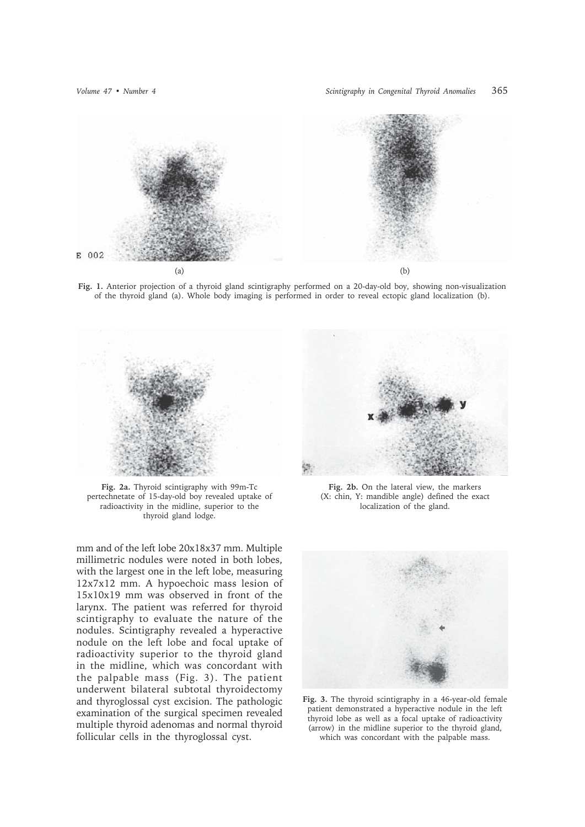

**Fig. 1.** Anterior projection of a thyroid gland scintigraphy performed on a 20-day-old boy, showing non-visualization of the thyroid gland (a). Whole body imaging is performed in order to reveal ectopic gland localization (b).



**Fig. 2a.** Thyroid scintigraphy with 99m-Tc pertechnetate of 15-day-old boy revealed uptake of radioactivity in the midline, superior to the thyroid gland lodge.

mm and of the left lobe 20x18x37 mm. Multiple millimetric nodules were noted in both lobes, with the largest one in the left lobe, measuring 12x7x12 mm. A hypoechoic mass lesion of 15x10x19 mm was observed in front of the larynx. The patient was referred for thyroid scintigraphy to evaluate the nature of the nodules. Scintigraphy revealed a hyperactive nodule on the left lobe and focal uptake of radioactivity superior to the thyroid gland in the midline, which was concordant with the palpable mass (Fig. 3). The patient underwent bilateral subtotal thyroidectomy and thyroglossal cyst excision. The pathologic examination of the surgical specimen revealed multiple thyroid adenomas and normal thyroid follicular cells in the thyroglossal cyst.



**Fig. 2b.** On the lateral view, the markers (X: chin, Y: mandible angle) defined the exact localization of the gland.



**Fig. 3.** The thyroid scintigraphy in a 46-year-old female patient demonstrated a hyperactive nodule in the left thyroid lobe as well as a focal uptake of radioactivity (arrow) in the midline superior to the thyroid gland, which was concordant with the palpable mass.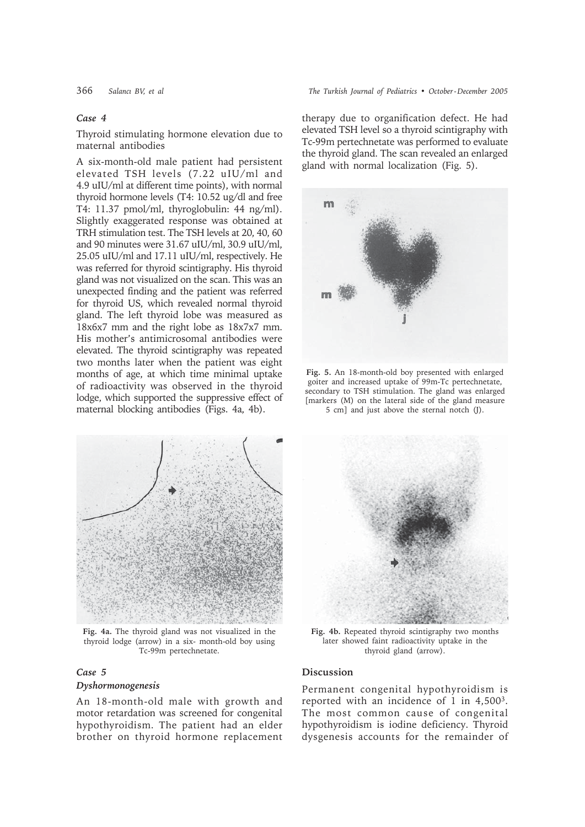#### *Case 4*

Thyroid stimulating hormone elevation due to maternal antibodies

A six-month-old male patient had persistent elevated TSH levels (7.22 uIU/ml and 4.9 uIU/ml at different time points), with normal thyroid hormone levels (T4: 10.52 ug/dl and free T4: 11.37 pmol/ml, thyroglobulin: 44 ng/ml). Slightly exaggerated response was obtained at TRH stimulation test. The TSH levels at 20, 40, 60 and 90 minutes were 31.67 uIU/ml, 30.9 uIU/ml, 25.05 uIU/ml and 17.11 uIU/ml, respectively. He was referred for thyroid scintigraphy. His thyroid gland was not visualized on the scan. This was an unexpected finding and the patient was referred for thyroid US, which revealed normal thyroid gland. The left thyroid lobe was measured as 18x6x7 mm and the right lobe as 18x7x7 mm. His mother's antimicrosomal antibodies were elevated. The thyroid scintigraphy was repeated two months later when the patient was eight months of age, at which time minimal uptake of radioactivity was observed in the thyroid lodge, which supported the suppressive effect of maternal blocking antibodies (Figs. 4a, 4b).



**Fig. 4a.** The thyroid gland was not visualized in the thyroid lodge (arrow) in a six- month-old boy using Tc-99m pertechnetate.

# *Case 5*

## *Dyshormonogenesis*

An 18-month-old male with growth and motor retardation was screened for congenital hypothyroidism. The patient had an elder brother on thyroid hormone replacement

366 *Salancı BV, et al The Turkish Journal of Pediatrics • October - December 2005*

therapy due to organification defect. He had elevated TSH level so a thyroid scintigraphy with Tc-99m pertechnetate was performed to evaluate the thyroid gland. The scan revealed an enlarged gland with normal localization (Fig. 5).



**Fig. 5.** An 18-month-old boy presented with enlarged goiter and increased uptake of 99m-Tc pertechnetate, secondary to TSH stimulation. The gland was enlarged [markers (M) on the lateral side of the gland measure 5 cm] and just above the sternal notch (J).



**Fig. 4b.** Repeated thyroid scintigraphy two months later showed faint radioactivity uptake in the thyroid gland (arrow).

#### **Discussion**

Permanent congenital hypothyroidism is reported with an incidence of 1 in 4,5003. The most common cause of congenital hypothyroidism is iodine deficiency. Thyroid dysgenesis accounts for the remainder of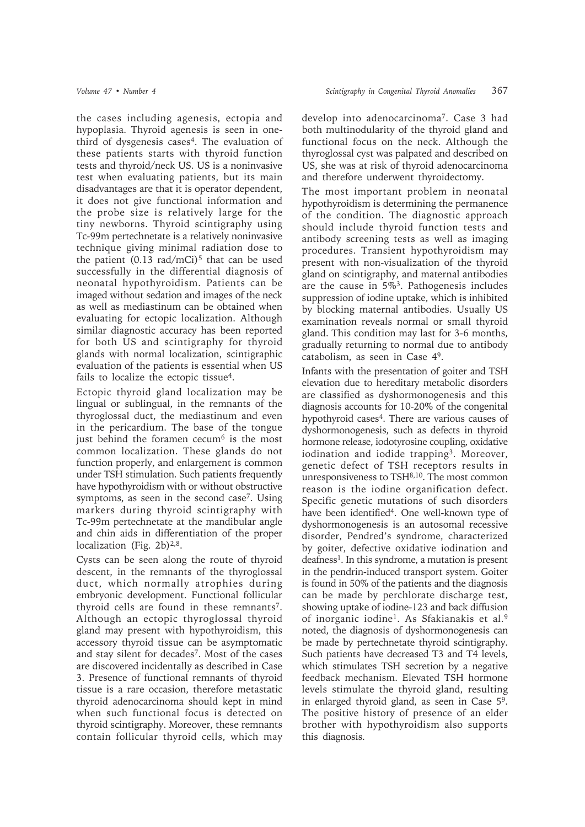the cases including agenesis, ectopia and hypoplasia. Thyroid agenesis is seen in onethird of dysgenesis cases<sup>4</sup>. The evaluation of these patients starts with thyroid function tests and thyroid/neck US. US is a noninvasive test when evaluating patients, but its main disadvantages are that it is operator dependent, it does not give functional information and the probe size is relatively large for the tiny newborns. Thyroid scintigraphy using Tc-99m pertechnetate is a relatively noninvasive technique giving minimal radiation dose to the patient  $(0.13 \text{ rad/mCi})^5$  that can be used successfully in the differential diagnosis of neonatal hypothyroidism. Patients can be imaged without sedation and images of the neck as well as mediastinum can be obtained when evaluating for ectopic localization. Although similar diagnostic accuracy has been reported for both US and scintigraphy for thyroid glands with normal localization, scintigraphic evaluation of the patients is essential when US fails to localize the ectopic tissue4.

Ectopic thyroid gland localization may be lingual or sublingual, in the remnants of the thyroglossal duct, the mediastinum and even in the pericardium. The base of the tongue just behind the foramen cecum<sup>6</sup> is the most common localization. These glands do not function properly, and enlargement is common under TSH stimulation. Such patients frequently have hypothyroidism with or without obstructive symptoms, as seen in the second case<sup>7</sup>. Using markers during thyroid scintigraphy with Tc-99m pertechnetate at the mandibular angle and chin aids in differentiation of the proper localization (Fig. 2b) $2,8$ .

Cysts can be seen along the route of thyroid descent, in the remnants of the thyroglossal duct, which normally atrophies during embryonic development. Functional follicular thyroid cells are found in these remnants<sup>7</sup>. Although an ectopic thyroglossal thyroid gland may present with hypothyroidism, this accessory thyroid tissue can be asymptomatic and stay silent for decades7. Most of the cases are discovered incidentally as described in Case 3. Presence of functional remnants of thyroid tissue is a rare occasion, therefore metastatic thyroid adenocarcinoma should kept in mind when such functional focus is detected on thyroid scintigraphy. Moreover, these remnants contain follicular thyroid cells, which may develop into adenocarcinoma7. Case 3 had both multinodularity of the thyroid gland and functional focus on the neck. Although the thyroglossal cyst was palpated and described on US, she was at risk of thyroid adenocarcinoma and therefore underwent thyroidectomy.

The most important problem in neonatal hypothyroidism is determining the permanence of the condition. The diagnostic approach should include thyroid function tests and antibody screening tests as well as imaging procedures. Transient hypothyroidism may present with non-visualization of the thyroid gland on scintigraphy, and maternal antibodies are the cause in 5%3. Pathogenesis includes suppression of iodine uptake, which is inhibited by blocking maternal antibodies. Usually US examination reveals normal or small thyroid gland. This condition may last for 3-6 months, gradually returning to normal due to antibody catabolism, as seen in Case 49.

Infants with the presentation of goiter and TSH elevation due to hereditary metabolic disorders are classified as dyshormonogenesis and this diagnosis accounts for 10-20% of the congenital hypothyroid cases $4$ . There are various causes of dyshormonogenesis, such as defects in thyroid hormone release, iodotyrosine coupling, oxidative iodination and iodide trapping<sup>3</sup>. Moreover, genetic defect of TSH receptors results in unresponsiveness to TSH8,10. The most common reason is the iodine organification defect. Specific genetic mutations of such disorders have been identified<sup>4</sup>. One well-known type of dyshormonogenesis is an autosomal recessive disorder, Pendred's syndrome, characterized by goiter, defective oxidative iodination and deafness<sup>1</sup>. In this syndrome, a mutation is present in the pendrin-induced transport system. Goiter is found in 50% of the patients and the diagnosis can be made by perchlorate discharge test, showing uptake of iodine-123 and back diffusion of inorganic iodine1. As Sfakianakis et al.9 noted, the diagnosis of dyshormonogenesis can be made by pertechnetate thyroid scintigraphy. Such patients have decreased T3 and T4 levels, which stimulates TSH secretion by a negative feedback mechanism. Elevated TSH hormone levels stimulate the thyroid gland, resulting in enlarged thyroid gland, as seen in Case 59. The positive history of presence of an elder brother with hypothyroidism also supports this diagnosis.